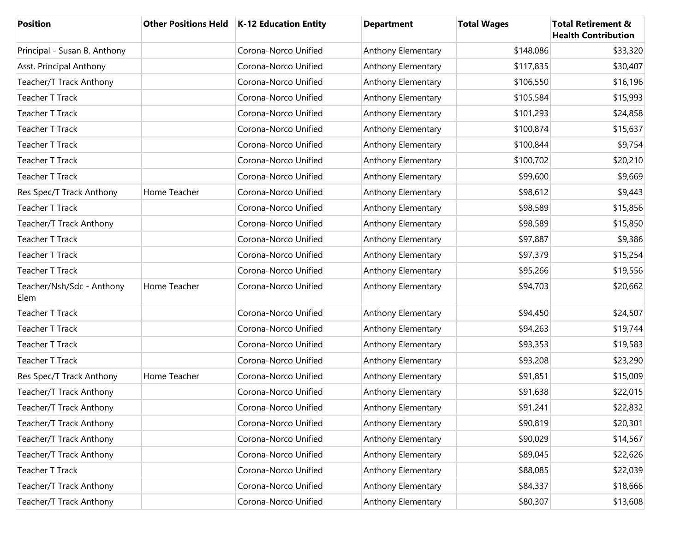| <b>Position</b>                   |              | Other Positions Held   K-12 Education Entity | <b>Department</b>  | <b>Total Wages</b> | <b>Total Retirement &amp;</b><br><b>Health Contribution</b> |
|-----------------------------------|--------------|----------------------------------------------|--------------------|--------------------|-------------------------------------------------------------|
| Principal - Susan B. Anthony      |              | Corona-Norco Unified                         | Anthony Elementary | \$148,086          | \$33,320                                                    |
| Asst. Principal Anthony           |              | Corona-Norco Unified                         | Anthony Elementary | \$117,835          | \$30,407                                                    |
| Teacher/T Track Anthony           |              | Corona-Norco Unified                         | Anthony Elementary | \$106,550          | \$16,196                                                    |
| <b>Teacher T Track</b>            |              | Corona-Norco Unified                         | Anthony Elementary | \$105,584          | \$15,993                                                    |
| <b>Teacher T Track</b>            |              | Corona-Norco Unified                         | Anthony Elementary | \$101,293          | \$24,858                                                    |
| <b>Teacher T Track</b>            |              | Corona-Norco Unified                         | Anthony Elementary | \$100,874          | \$15,637                                                    |
| <b>Teacher T Track</b>            |              | Corona-Norco Unified                         | Anthony Elementary | \$100,844          | \$9,754                                                     |
| <b>Teacher T Track</b>            |              | Corona-Norco Unified                         | Anthony Elementary | \$100,702          | \$20,210                                                    |
| <b>Teacher T Track</b>            |              | Corona-Norco Unified                         | Anthony Elementary | \$99,600           | \$9,669                                                     |
| Res Spec/T Track Anthony          | Home Teacher | Corona-Norco Unified                         | Anthony Elementary | \$98,612           | \$9,443                                                     |
| <b>Teacher T Track</b>            |              | Corona-Norco Unified                         | Anthony Elementary | \$98,589           | \$15,856                                                    |
| Teacher/T Track Anthony           |              | Corona-Norco Unified                         | Anthony Elementary | \$98,589           | \$15,850                                                    |
| <b>Teacher T Track</b>            |              | Corona-Norco Unified                         | Anthony Elementary | \$97,887           | \$9,386                                                     |
| <b>Teacher T Track</b>            |              | Corona-Norco Unified                         | Anthony Elementary | \$97,379           | \$15,254                                                    |
| <b>Teacher T Track</b>            |              | Corona-Norco Unified                         | Anthony Elementary | \$95,266           | \$19,556                                                    |
| Teacher/Nsh/Sdc - Anthony<br>Elem | Home Teacher | Corona-Norco Unified                         | Anthony Elementary | \$94,703           | \$20,662                                                    |
| <b>Teacher T Track</b>            |              | Corona-Norco Unified                         | Anthony Elementary | \$94,450           | \$24,507                                                    |
| <b>Teacher T Track</b>            |              | Corona-Norco Unified                         | Anthony Elementary | \$94,263           | \$19,744                                                    |
| <b>Teacher T Track</b>            |              | Corona-Norco Unified                         | Anthony Elementary | \$93,353           | \$19,583                                                    |
| <b>Teacher T Track</b>            |              | Corona-Norco Unified                         | Anthony Elementary | \$93,208           | \$23,290                                                    |
| Res Spec/T Track Anthony          | Home Teacher | Corona-Norco Unified                         | Anthony Elementary | \$91,851           | \$15,009                                                    |
| Teacher/T Track Anthony           |              | Corona-Norco Unified                         | Anthony Elementary | \$91,638           | \$22,015                                                    |
| Teacher/T Track Anthony           |              | Corona-Norco Unified                         | Anthony Elementary | \$91,241           | \$22,832                                                    |
| Teacher/T Track Anthony           |              | Corona-Norco Unified                         | Anthony Elementary | \$90,819           | \$20,301                                                    |
| Teacher/T Track Anthony           |              | Corona-Norco Unified                         | Anthony Elementary | \$90,029           | \$14,567                                                    |
| Teacher/T Track Anthony           |              | Corona-Norco Unified                         | Anthony Elementary | \$89,045           | \$22,626                                                    |
| <b>Teacher T Track</b>            |              | Corona-Norco Unified                         | Anthony Elementary | \$88,085           | \$22,039                                                    |
| Teacher/T Track Anthony           |              | Corona-Norco Unified                         | Anthony Elementary | \$84,337           | \$18,666                                                    |
| Teacher/T Track Anthony           |              | Corona-Norco Unified                         | Anthony Elementary | \$80,307           | \$13,608                                                    |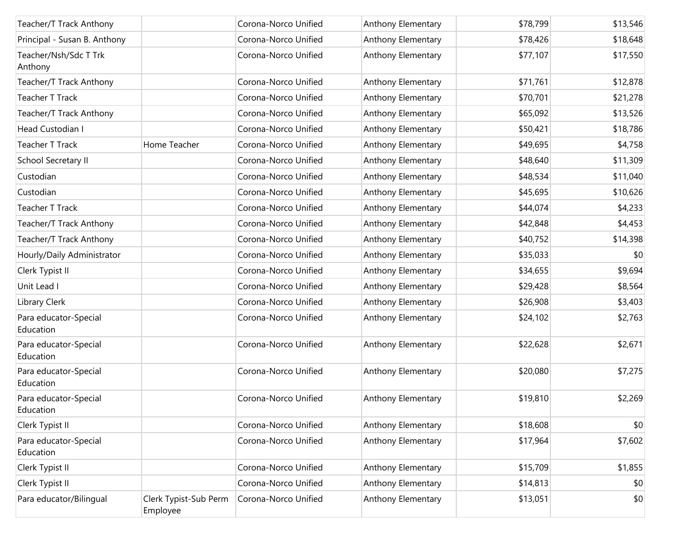| Teacher/T Track Anthony            |                                   | Corona-Norco Unified | Anthony Elementary | \$78,799 | \$13,546 |
|------------------------------------|-----------------------------------|----------------------|--------------------|----------|----------|
| Principal - Susan B. Anthony       |                                   | Corona-Norco Unified | Anthony Elementary | \$78,426 | \$18,648 |
| Teacher/Nsh/Sdc T Trk<br>Anthony   |                                   | Corona-Norco Unified | Anthony Elementary | \$77,107 | \$17,550 |
| Teacher/T Track Anthony            |                                   | Corona-Norco Unified | Anthony Elementary | \$71,761 | \$12,878 |
| <b>Teacher T Track</b>             |                                   | Corona-Norco Unified | Anthony Elementary | \$70,701 | \$21,278 |
| Teacher/T Track Anthony            |                                   | Corona-Norco Unified | Anthony Elementary | \$65,092 | \$13,526 |
| Head Custodian I                   |                                   | Corona-Norco Unified | Anthony Elementary | \$50,421 | \$18,786 |
| <b>Teacher T Track</b>             | Home Teacher                      | Corona-Norco Unified | Anthony Elementary | \$49,695 | \$4,758  |
| School Secretary II                |                                   | Corona-Norco Unified | Anthony Elementary | \$48,640 | \$11,309 |
| Custodian                          |                                   | Corona-Norco Unified | Anthony Elementary | \$48,534 | \$11,040 |
| Custodian                          |                                   | Corona-Norco Unified | Anthony Elementary | \$45,695 | \$10,626 |
| <b>Teacher T Track</b>             |                                   | Corona-Norco Unified | Anthony Elementary | \$44,074 | \$4,233  |
| Teacher/T Track Anthony            |                                   | Corona-Norco Unified | Anthony Elementary | \$42,848 | \$4,453  |
| Teacher/T Track Anthony            |                                   | Corona-Norco Unified | Anthony Elementary | \$40,752 | \$14,398 |
| Hourly/Daily Administrator         |                                   | Corona-Norco Unified | Anthony Elementary | \$35,033 | \$0      |
| Clerk Typist II                    |                                   | Corona-Norco Unified | Anthony Elementary | \$34,655 | \$9,694  |
| Unit Lead I                        |                                   | Corona-Norco Unified | Anthony Elementary | \$29,428 | \$8,564  |
| Library Clerk                      |                                   | Corona-Norco Unified | Anthony Elementary | \$26,908 | \$3,403  |
| Para educator-Special<br>Education |                                   | Corona-Norco Unified | Anthony Elementary | \$24,102 | \$2,763  |
| Para educator-Special<br>Education |                                   | Corona-Norco Unified | Anthony Elementary | \$22,628 | \$2,671  |
| Para educator-Special<br>Education |                                   | Corona-Norco Unified | Anthony Elementary | \$20,080 | \$7,275  |
| Para educator-Special<br>Education |                                   | Corona-Norco Unified | Anthony Elementary | \$19,810 | \$2,269  |
| Clerk Typist II                    |                                   | Corona-Norco Unified | Anthony Elementary | \$18,608 | \$0      |
| Para educator-Special<br>Education |                                   | Corona-Norco Unified | Anthony Elementary | \$17,964 | \$7,602  |
| Clerk Typist II                    |                                   | Corona-Norco Unified | Anthony Elementary | \$15,709 | \$1,855  |
| Clerk Typist II                    |                                   | Corona-Norco Unified | Anthony Elementary | \$14,813 | \$0      |
| Para educator/Bilingual            | Clerk Typist-Sub Perm<br>Employee | Corona-Norco Unified | Anthony Elementary | \$13,051 | \$0      |